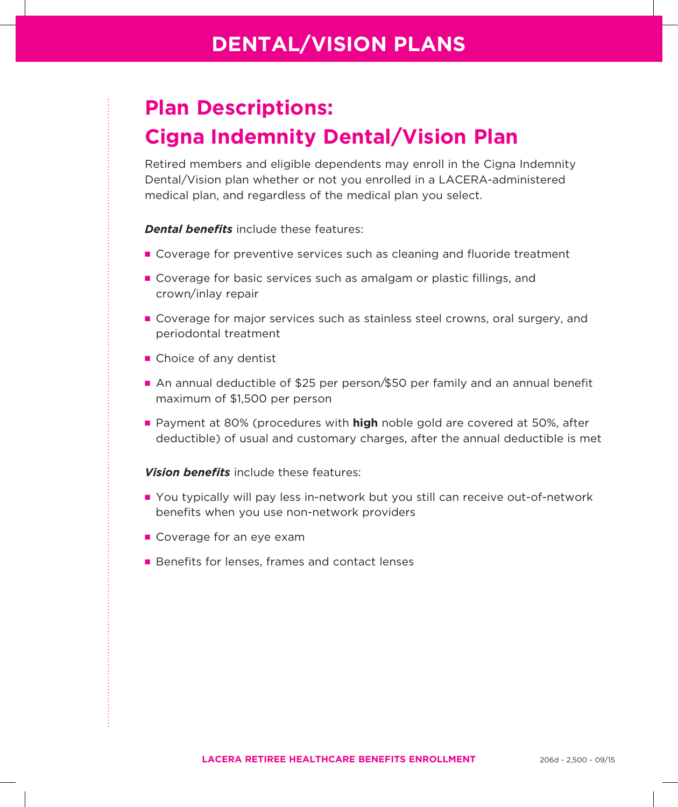### **DENTAL/VISION PLANS**

# **Plan Descriptions: Cigna Indemnity Dental/Vision Plan**

Retired members and eligible dependents may enroll in the Cigna Indemnity Dental/Vision plan whether or not you enrolled in a LACERA-administered medical plan, and regardless of the medical plan you select.

#### *Dental benefits* include these features:

- **O** Coverage for preventive services such as cleaning and fluoride treatment
- **n** Coverage for basic services such as amalgam or plastic fillings, and crown/inlay repair
- **n** Coverage for major services such as stainless steel crowns, oral surgery, and periodontal treatment
- $\blacksquare$  Choice of any dentist
- An annual deductible of \$25 per person/\$50 per family and an annual benefit maximum of \$1,500 per person
- **Payment at 80% (procedures with high noble gold are covered at 50%, after** deductible) of usual and customary charges, after the annual deductible is met

*Vision benefits* include these features:

- You typically will pay less in-network but you still can receive out-of-network benefits when you use non-network providers
- **n** Coverage for an eye exam
- **Benefits for lenses, frames and contact lenses**